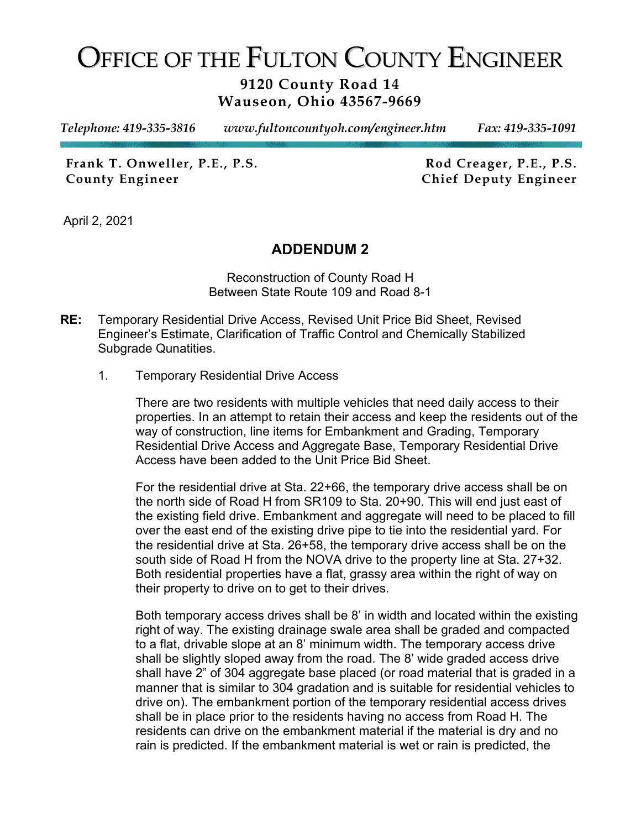## OFFICE OF THE FULTON COUNTY ENGINEER

## **9120 County Road 14 Wauseon, Ohio 43567-9669**

*Telephone: 419-335-3816 www.fultoncountyoh.com/engineer.htm Fax: 419-335-1091* 

Frank T. Onweller, P.E., P.S. Rod Creager, P.E., P.S. **County Engineer Chief Deputy Engineer**

April 2, 2021

## **ADDENDUM 2**

Reconstruction of County Road H Between State Route 109 and Road 8-1

- **RE:** Temporary Residential Drive Access, Revised Unit Price Bid Sheet, Revised Engineer's Estimate, Clarification of Traffic Control and Chemically Stabilized Subgrade Qunatities.
	- 1. Temporary Residential Drive Access

There are two residents with multiple vehicles that need daily access to their properties. In an attempt to retain their access and keep the residents out of the way of construction, line items for Embankment and Grading, Temporary Residential Drive Access and Aggregate Base, Temporary Residential Drive Access have been added to the Unit Price Bid Sheet.

For the residential drive at Sta. 22+66, the temporary drive access shall be on the north side of Road H from SR109 to Sta. 20+90. This will end just east of the existing field drive. Embankment and aggregate will need to be placed to fill over the east end of the existing drive pipe to tie into the residential yard. For the residential drive at Sta. 26+58, the temporary drive access shall be on the south side of Road H from the NOVA drive to the property line at Sta. 27+32. Both residential properties have a flat, grassy area within the right of way on their property to drive on to get to their drives.

Both temporary access drives shall be 8' in width and located within the existing right of way. The existing drainage swale area shall be graded and compacted to a flat, drivable slope at an 8' minimum width. The temporary access drive shall be slightly sloped away from the road. The 8' wide graded access drive shall have 2" of 304 aggregate base placed (or road material that is graded in a manner that is similar to 304 gradation and is suitable for residential vehicles to drive on). The embankment portion of the temporary residential access drives shall be in place prior to the residents having no access from Road H. The residents can drive on the embankment material if the material is dry and no rain is predicted. If the embankment material is wet or rain is predicted, the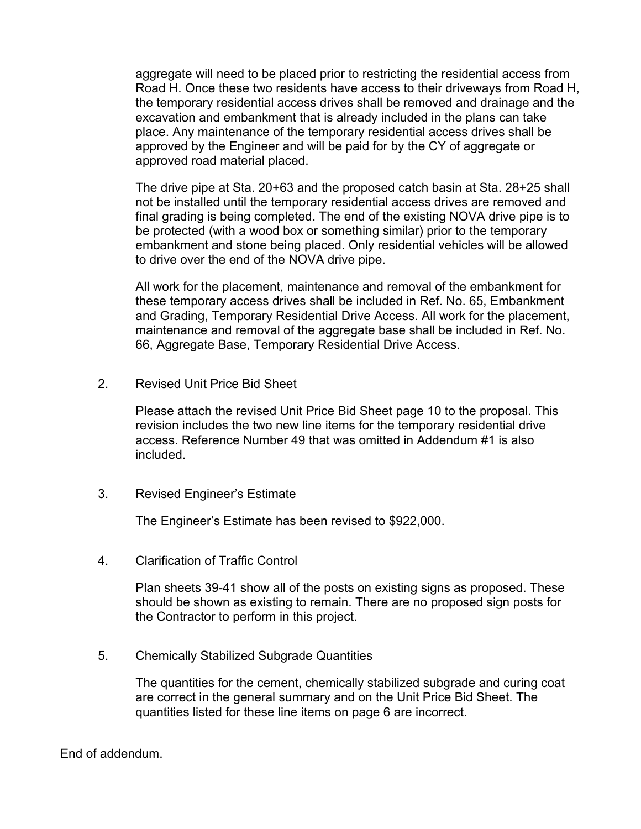aggregate will need to be placed prior to restricting the residential access from Road H. Once these two residents have access to their driveways from Road H, the temporary residential access drives shall be removed and drainage and the excavation and embankment that is already included in the plans can take place. Any maintenance of the temporary residential access drives shall be approved by the Engineer and will be paid for by the CY of aggregate or approved road material placed.

The drive pipe at Sta. 20+63 and the proposed catch basin at Sta. 28+25 shall not be installed until the temporary residential access drives are removed and final grading is being completed. The end of the existing NOVA drive pipe is to be protected (with a wood box or something similar) prior to the temporary embankment and stone being placed. Only residential vehicles will be allowed to drive over the end of the NOVA drive pipe.

All work for the placement, maintenance and removal of the embankment for these temporary access drives shall be included in Ref. No. 65, Embankment and Grading, Temporary Residential Drive Access. All work for the placement, maintenance and removal of the aggregate base shall be included in Ref. No. 66, Aggregate Base, Temporary Residential Drive Access.

2. Revised Unit Price Bid Sheet

Please attach the revised Unit Price Bid Sheet page 10 to the proposal. This revision includes the two new line items for the temporary residential drive access. Reference Number 49 that was omitted in Addendum #1 is also included.

3. Revised Engineer's Estimate

The Engineer's Estimate has been revised to \$922,000.

4. Clarification of Traffic Control

Plan sheets 39-41 show all of the posts on existing signs as proposed. These should be shown as existing to remain. There are no proposed sign posts for the Contractor to perform in this project.

5. Chemically Stabilized Subgrade Quantities

The quantities for the cement, chemically stabilized subgrade and curing coat are correct in the general summary and on the Unit Price Bid Sheet. The quantities listed for these line items on page 6 are incorrect.

End of addendum.